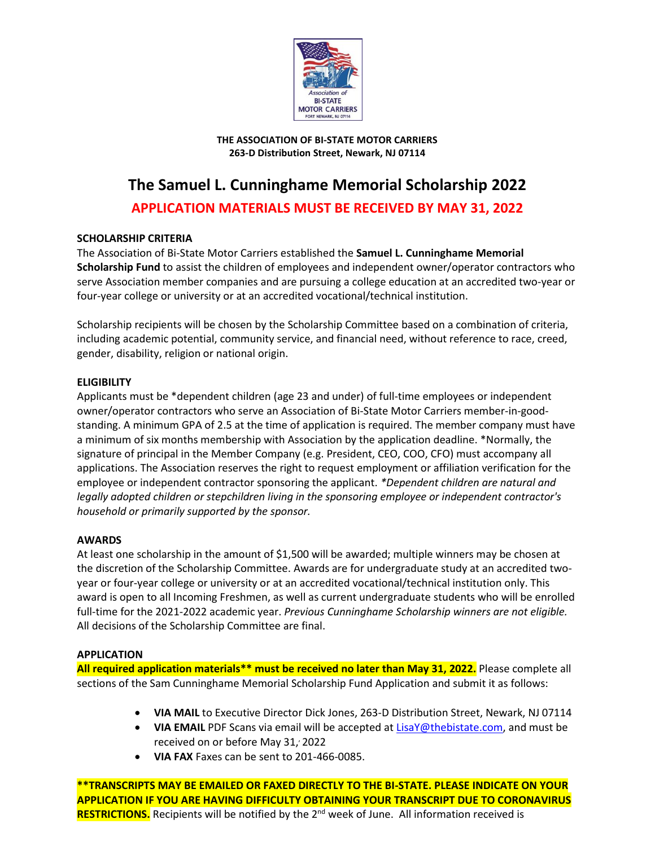

#### **THE ASSOCIATION OF BI-STATE MOTOR CARRIERS 263-D Distribution Street, Newark, NJ 07114**

# **The Samuel L. Cunninghame Memorial Scholarship 2022**

# **APPLICATION MATERIALS MUST BE RECEIVED BY MAY 31, 2022**

# **SCHOLARSHIP CRITERIA**

The Association of Bi-State Motor Carriers established the **Samuel L. Cunninghame Memorial Scholarship Fund** to assist the children of employees and independent owner/operator contractors who serve Association member companies and are pursuing a college education at an accredited two-year or four-year college or university or at an accredited vocational/technical institution.

Scholarship recipients will be chosen by the Scholarship Committee based on a combination of criteria, including academic potential, community service, and financial need, without reference to race, creed, gender, disability, religion or national origin.

# **ELIGIBILITY**

Applicants must be \*dependent children (age 23 and under) of full-time employees or independent owner/operator contractors who serve an Association of Bi-State Motor Carriers member-in-goodstanding. A minimum GPA of 2.5 at the time of application is required. The member company must have a minimum of six months membership with Association by the application deadline. \*Normally, the signature of principal in the Member Company (e.g. President, CEO, COO, CFO) must accompany all applications. The Association reserves the right to request employment or affiliation verification for the employee or independent contractor sponsoring the applicant. *\*Dependent children are natural and legally adopted children or stepchildren living in the sponsoring employee or independent contractor's household or primarily supported by the sponsor.*

# **AWARDS**

At least one scholarship in the amount of \$1,500 will be awarded; multiple winners may be chosen at the discretion of the Scholarship Committee. Awards are for undergraduate study at an accredited twoyear or four-year college or university or at an accredited vocational/technical institution only. This award is open to all Incoming Freshmen, as well as current undergraduate students who will be enrolled full-time for the 2021-2022 academic year. *Previous Cunninghame Scholarship winners are not eligible.* All decisions of the Scholarship Committee are final.

# **APPLICATION**

**All required application materials\*\* must be received no later than May 31, 2022.** Please complete all sections of the Sam Cunninghame Memorial Scholarship Fund Application and submit it as follows:

- **VIA MAIL** to Executive Director Dick Jones, 263-D Distribution Street, Newark, NJ 07114
- **VIA EMAIL** PDF Scans via email will be accepted at **LisaY@thebistate.com**, and must be received on or before May 31, 2022
- **VIA FAX** Faxes can be sent to 201-466-0085.

**\*\*TRANSCRIPTS MAY BE EMAILED OR FAXED DIRECTLY TO THE BI-STATE. PLEASE INDICATE ON YOUR APPLICATION IF YOU ARE HAVING DIFFICULTY OBTAINING YOUR TRANSCRIPT DUE TO CORONAVIRUS**  RESTRICTIONS. Recipients will be notified by the 2<sup>nd</sup> week of June. All information received is